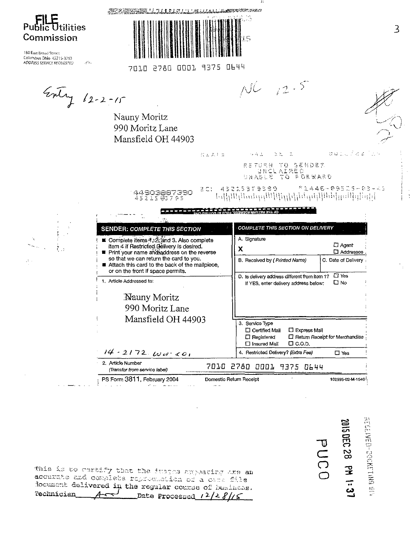Publ tilities Commission

180 East Broad Street Columbus Ohio 43215-3793 ADDRESS SERVICE REQUESTED  $\mathcal{L}^{\mathcal{L}}_{\mathcal{R}}$  .

٠.,

 $\mathcal{F}_{\mathcal{F}}$ 

7,

| AND STREET HEAT AND STREET MANAGEMENT WAS ARREST |  |
|--------------------------------------------------|--|
|                                                  |  |
| adın ədin onun 9975 AL44                         |  |

7369 -70 J.D יקוקה החמדי

 $\mathbb{N} \subseteq \mathbb{X}$  ) in

s hi

 $\blacksquare = \blacksquare = \blacksquare$ 

Entry 12-2-15

Nauny Moritz 990 Moritz Lane Mansfield OH 44903

 $NC_{12}$  . 5

- I I



aulilla e la

 $\frac{1}{2}$  (#  $\frac{1}{2}$  Mullimod-03Al1932

**DOIC OEC 28 PM 1:37** 

PUCO

RETURN TO SENDER<br>UNCLAIMED<br>UNABLE TO PORWARD

 $\mathbb{R} \subset \mathbb{Z}$ 

44903887390

 $* 1.446 - 0.95115 - 0.3 - 0.5$ 

分布法

| <b>SENDER: COMPLETE THIS SECTION</b>                                                                                                                          | <b>COMPLETE THIS SECTION ON DELIVERY</b>                                                                                                                           |
|---------------------------------------------------------------------------------------------------------------------------------------------------------------|--------------------------------------------------------------------------------------------------------------------------------------------------------------------|
| ■ Complete items 4, $\check{\mathcal{Z}}$ ; and 3. Also complete<br>item 4 if Restricted Delivery is desired.<br>■ Print your name andtaddress on the reverse | A. Signature<br>□ Agent<br>х<br>口 Addressee                                                                                                                        |
| so that we can return the card to you.<br>Attach this card to the back of the mailpiece,<br>or on the front if space permits.                                 | B. Received by (Printed Name)<br>C. Date of Delivery                                                                                                               |
| 1. Article Addressed to:                                                                                                                                      | □ Yes<br>D. Is delivery address different from item 1?<br>⊡ №<br>If YES, enter delivery address below;                                                             |
| Nauny Moritz                                                                                                                                                  |                                                                                                                                                                    |
| 990 Moritz Lane                                                                                                                                               |                                                                                                                                                                    |
| Mansfield OH 44903                                                                                                                                            | 3. Service Type<br>□ Certified Mail<br><b>D</b> Express Mail<br>$\Box$ Return Receipt for Merchandise<br>$\Box$ Registered<br>$\Box$ C.O.D.<br>$\Box$ Insured Mail |
| $14 - 2172$ Ww con                                                                                                                                            | 4. Restricted Delivery? (Extra Fee)<br>□ Yes                                                                                                                       |
| 2. Article Number<br>(Transfer from service label)                                                                                                            | 2780<br>0001<br>7010<br>9375<br>8644                                                                                                                               |
| PS Form 3811, February 2004                                                                                                                                   | Domestic Return Receipt<br>102595-02-M-1540                                                                                                                        |

This is to certify that the inspeasangearing are an accurate and complete represention of a care file locument delivered in the regular counse of business.  $\sim$ Technician Date Processed  $1^2/2$   $8/15$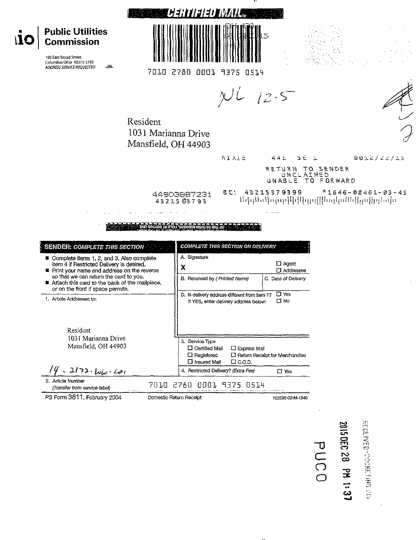

|                                                   |                                     |  | $\Box$ insured Mail $\Box$ U.U.D. |  |  |
|---------------------------------------------------|-------------------------------------|--|-----------------------------------|--|--|
| 14.2172.106.601                                   | 4. Restricted Delivery? (Extra Fee) |  |                                   |  |  |
| 2. Article Number<br>Fransfer from cangoo jaholi. |                                     |  | 7010 2780 0001 9375 0514          |  |  |

(Transfer from service label)

PS Form 3811, February 2004

Domestic Return Receipt

102595-02-M-1540

 $\Box$  Yes

**2015 DEC 28 PM 1:37** 

PUCC

AIS PHED-0000-03MHOSH